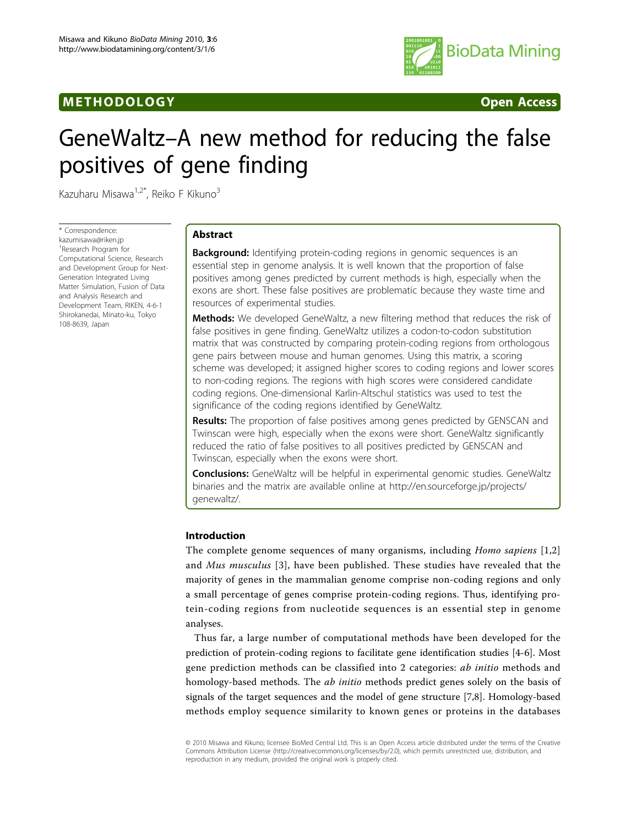## M E THODO LOGY Open Access



# GeneWaltz–A new method for reducing the false positives of gene finding

Kazuharu Misawa<sup>1,2\*</sup>, Reiko F Kikuno<sup>3</sup>

\* Correspondence: [kazumisawa@riken.jp](mailto:kazumisawa@riken.jp) 1 Research Program for Computational Science, Research and Development Group for Next-Generation Integrated Living Matter Simulation, Fusion of Data and Analysis Research and Development Team, RIKEN, 4-6-1 Shirokanedai, Minato-ku, Tokyo 108-8639, Japan

## Abstract

**Background:** Identifying protein-coding regions in genomic sequences is an essential step in genome analysis. It is well known that the proportion of false positives among genes predicted by current methods is high, especially when the exons are short. These false positives are problematic because they waste time and resources of experimental studies.

**Methods:** We developed GeneWaltz, a new filtering method that reduces the risk of false positives in gene finding. GeneWaltz utilizes a codon-to-codon substitution matrix that was constructed by comparing protein-coding regions from orthologous gene pairs between mouse and human genomes. Using this matrix, a scoring scheme was developed; it assigned higher scores to coding regions and lower scores to non-coding regions. The regions with high scores were considered candidate coding regions. One-dimensional Karlin-Altschul statistics was used to test the significance of the coding regions identified by GeneWaltz.

**Results:** The proportion of false positives among genes predicted by GENSCAN and Twinscan were high, especially when the exons were short. GeneWaltz significantly reduced the ratio of false positives to all positives predicted by GENSCAN and Twinscan, especially when the exons were short.

**Conclusions:** GeneWaltz will be helpful in experimental genomic studies. GeneWaltz binaries and the matrix are available online at [http://en.sourceforge.jp/projects/](http://en.sourceforge.jp/projects/genewaltz/) [genewaltz/](http://en.sourceforge.jp/projects/genewaltz/).

## Introduction

The complete genome sequences of many organisms, including Homo sapiens [[1,2](#page-7-0)] and Mus musculus [[3\]](#page-7-0), have been published. These studies have revealed that the majority of genes in the mammalian genome comprise non-coding regions and only a small percentage of genes comprise protein-coding regions. Thus, identifying protein-coding regions from nucleotide sequences is an essential step in genome analyses.

Thus far, a large number of computational methods have been developed for the prediction of protein-coding regions to facilitate gene identification studies [\[4](#page-7-0)-[6\]](#page-7-0). Most gene prediction methods can be classified into 2 categories: *ab initio* methods and homology-based methods. The *ab initio* methods predict genes solely on the basis of signals of the target sequences and the model of gene structure [[7,8\]](#page-7-0). Homology-based methods employ sequence similarity to known genes or proteins in the databases

© 2010 Misawa and Kikuno; licensee BioMed Central Ltd. This is an Open Access article distributed under the terms of the Creative Commons Attribution License [\(http://creativecommons.org/licenses/by/2.0](http://creativecommons.org/licenses/by/2.0)), which permits unrestricted use, distribution, and reproduction in any medium, provided the original work is properly cited.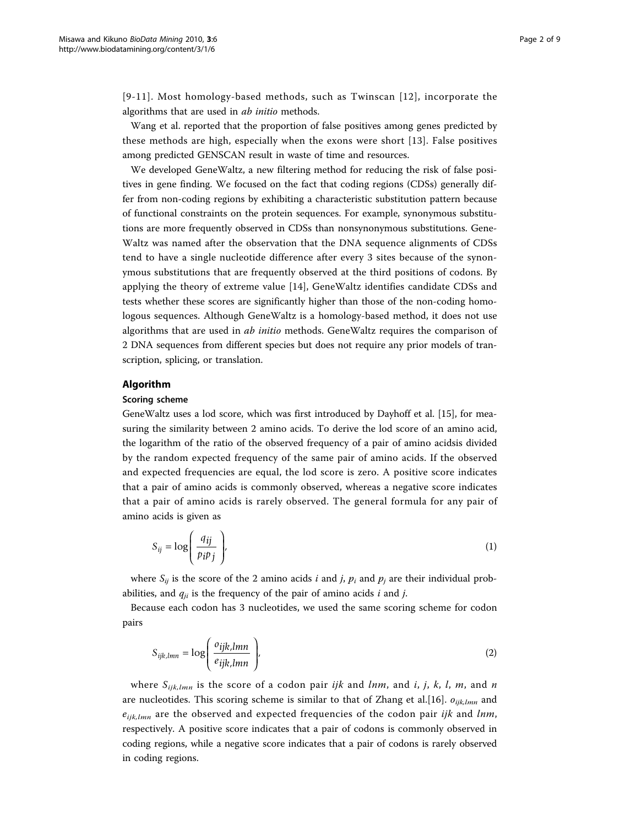[[9-11](#page-7-0)]. Most homology-based methods, such as Twinscan [[12\]](#page-7-0), incorporate the algorithms that are used in ab initio methods.

Wang et al. reported that the proportion of false positives among genes predicted by these methods are high, especially when the exons were short [[13](#page-7-0)]. False positives among predicted GENSCAN result in waste of time and resources.

We developed GeneWaltz, a new filtering method for reducing the risk of false positives in gene finding. We focused on the fact that coding regions (CDSs) generally differ from non-coding regions by exhibiting a characteristic substitution pattern because of functional constraints on the protein sequences. For example, synonymous substitutions are more frequently observed in CDSs than nonsynonymous substitutions. Gene-Waltz was named after the observation that the DNA sequence alignments of CDSs tend to have a single nucleotide difference after every 3 sites because of the synonymous substitutions that are frequently observed at the third positions of codons. By applying the theory of extreme value [[14](#page-7-0)], GeneWaltz identifies candidate CDSs and tests whether these scores are significantly higher than those of the non-coding homologous sequences. Although GeneWaltz is a homology-based method, it does not use algorithms that are used in ab initio methods. GeneWaltz requires the comparison of 2 DNA sequences from different species but does not require any prior models of transcription, splicing, or translation.

#### Algorithm

#### Scoring scheme

GeneWaltz uses a lod score, which was first introduced by Dayhoff et al. [\[15\]](#page-7-0), for measuring the similarity between 2 amino acids. To derive the lod score of an amino acid, the logarithm of the ratio of the observed frequency of a pair of amino acidsis divided by the random expected frequency of the same pair of amino acids. If the observed and expected frequencies are equal, the lod score is zero. A positive score indicates that a pair of amino acids is commonly observed, whereas a negative score indicates that a pair of amino acids is rarely observed. The general formula for any pair of amino acids is given as

$$
S_{ij} = \log\left(\frac{q_{ij}}{p_i p_j}\right),\tag{1}
$$

where  $S_{ij}$  is the score of the 2 amino acids *i* and *j*,  $p_i$  and  $p_j$  are their individual probabilities, and  $q_{ii}$  is the frequency of the pair of amino acids i and j.

Because each codon has 3 nucleotides, we used the same scoring scheme for codon pairs

$$
S_{ijk,lmn} = \log \left( \frac{o_{ijk,lmn}}{e_{ijk,lmn}} \right),\tag{2}
$$

where  $S_{ijk,lmn}$  is the score of a codon pair ijk and lnm, and i, j, k, l, m, and n are nucleotides. This scoring scheme is similar to that of Zhang et al. [[16\]](#page-7-0).  $o_{ijk,lmn}$  and  $e_{ijk,lmn}$  are the observed and expected frequencies of the codon pair ijk and lnm, respectively. A positive score indicates that a pair of codons is commonly observed in coding regions, while a negative score indicates that a pair of codons is rarely observed in coding regions.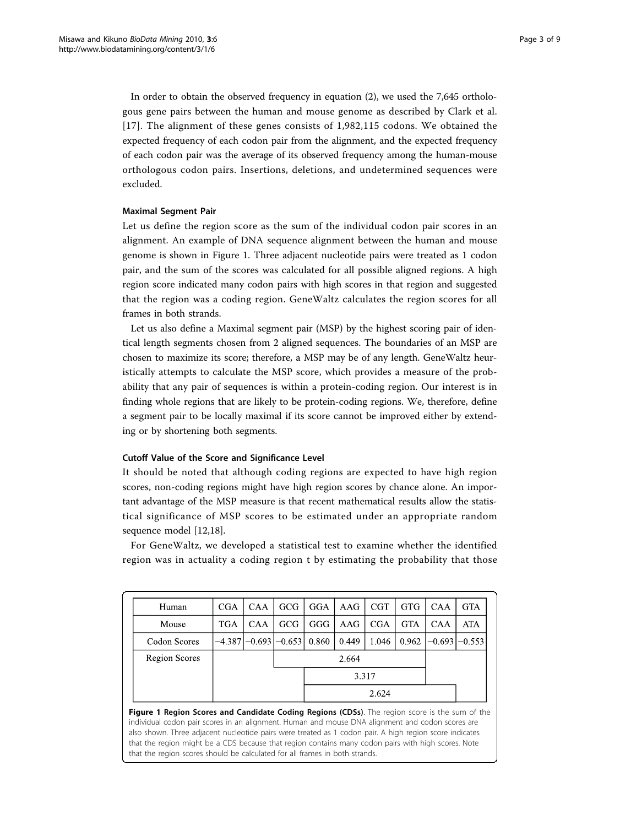In order to obtain the observed frequency in equation (2), we used the 7,645 orthologous gene pairs between the human and mouse genome as described by Clark et al. [[17](#page-7-0)]. The alignment of these genes consists of 1,982,115 codons. We obtained the expected frequency of each codon pair from the alignment, and the expected frequency of each codon pair was the average of its observed frequency among the human-mouse orthologous codon pairs. Insertions, deletions, and undetermined sequences were excluded.

## Maximal Segment Pair

Let us define the region score as the sum of the individual codon pair scores in an alignment. An example of DNA sequence alignment between the human and mouse genome is shown in Figure 1. Three adjacent nucleotide pairs were treated as 1 codon pair, and the sum of the scores was calculated for all possible aligned regions. A high region score indicated many codon pairs with high scores in that region and suggested that the region was a coding region. GeneWaltz calculates the region scores for all frames in both strands.

Let us also define a Maximal segment pair (MSP) by the highest scoring pair of identical length segments chosen from 2 aligned sequences. The boundaries of an MSP are chosen to maximize its score; therefore, a MSP may be of any length. GeneWaltz heuristically attempts to calculate the MSP score, which provides a measure of the probability that any pair of sequences is within a protein-coding region. Our interest is in finding whole regions that are likely to be protein-coding regions. We, therefore, define a segment pair to be locally maximal if its score cannot be improved either by extending or by shortening both segments.

## Cutoff Value of the Score and Significance Level

It should be noted that although coding regions are expected to have high region scores, non-coding regions might have high region scores by chance alone. An important advantage of the MSP measure is that recent mathematical results allow the statistical significance of MSP scores to be estimated under an appropriate random sequence model [[12,18](#page-7-0)].

For GeneWaltz, we developed a statistical test to examine whether the identified region was in actuality a coding region t by estimating the probability that those

| Human                | <b>CGA</b> | CAA        | GCG                            | GGA   | AAG   | CGT        | <b>GTG</b> | <b>CAA</b>            | <b>GTA</b> |
|----------------------|------------|------------|--------------------------------|-------|-------|------------|------------|-----------------------|------------|
| Mouse                | <b>TGA</b> | <b>CAA</b> | <b>GCG</b>                     | GGG   | AAG   | <b>CGA</b> | <b>GTA</b> | <b>CAA</b>            | <b>ATA</b> |
| Codon Scores         |            |            | $-4.387[-0.693] -0.653] 0.860$ |       | 0.449 | 1.046      |            | $0.962$ -0.693 -0.553 |            |
| <b>Region Scores</b> | 2.664      |            |                                |       |       |            |            |                       |            |
|                      | 3.317      |            |                                |       |       |            |            |                       |            |
|                      |            |            |                                | 2.624 |       |            |            |                       |            |

Figure 1 Region Scores and Candidate Coding Regions (CDSs). The region score is the sum of the individual codon pair scores in an alignment. Human and mouse DNA alignment and codon scores are also shown. Three adjacent nucleotide pairs were treated as 1 codon pair. A high region score indicates that the region might be a CDS because that region contains many codon pairs with high scores. Note that the region scores should be calculated for all frames in both strands.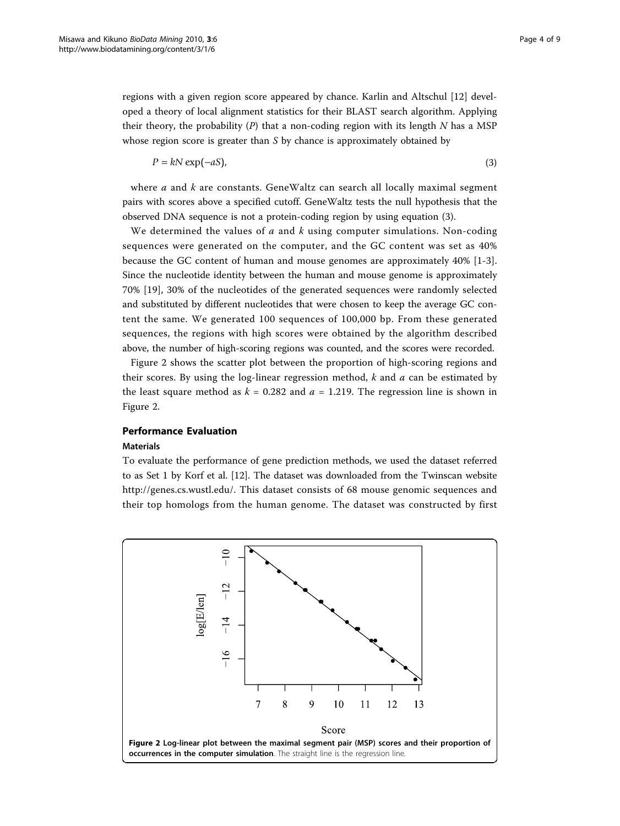regions with a given region score appeared by chance. Karlin and Altschul [\[12](#page-7-0)] developed a theory of local alignment statistics for their BLAST search algorithm. Applying their theory, the probability  $(P)$  that a non-coding region with its length N has a MSP whose region score is greater than S by chance is approximately obtained by

$$
P = kN \exp(-aS),\tag{3}
$$

where  $a$  and  $k$  are constants. GeneWaltz can search all locally maximal segment pairs with scores above a specified cutoff. GeneWaltz tests the null hypothesis that the observed DNA sequence is not a protein-coding region by using equation (3).

We determined the values of  $a$  and  $k$  using computer simulations. Non-coding sequences were generated on the computer, and the GC content was set as 40% because the GC content of human and mouse genomes are approximately 40% [[1-3](#page-7-0)]. Since the nucleotide identity between the human and mouse genome is approximately 70% [\[19](#page-7-0)], 30% of the nucleotides of the generated sequences were randomly selected and substituted by different nucleotides that were chosen to keep the average GC content the same. We generated 100 sequences of 100,000 bp. From these generated sequences, the regions with high scores were obtained by the algorithm described above, the number of high-scoring regions was counted, and the scores were recorded.

Figure 2 shows the scatter plot between the proportion of high-scoring regions and their scores. By using the log-linear regression method,  $k$  and  $a$  can be estimated by the least square method as  $k = 0.282$  and  $a = 1.219$ . The regression line is shown in Figure 2.

## Performance Evaluation

#### Materials

To evaluate the performance of gene prediction methods, we used the dataset referred to as Set 1 by Korf et al. [\[12\]](#page-7-0). The dataset was downloaded from the Twinscan website [http://genes.cs.wustl.edu/.](http://genes.cs.wustl.edu/) This dataset consists of 68 mouse genomic sequences and their top homologs from the human genome. The dataset was constructed by first

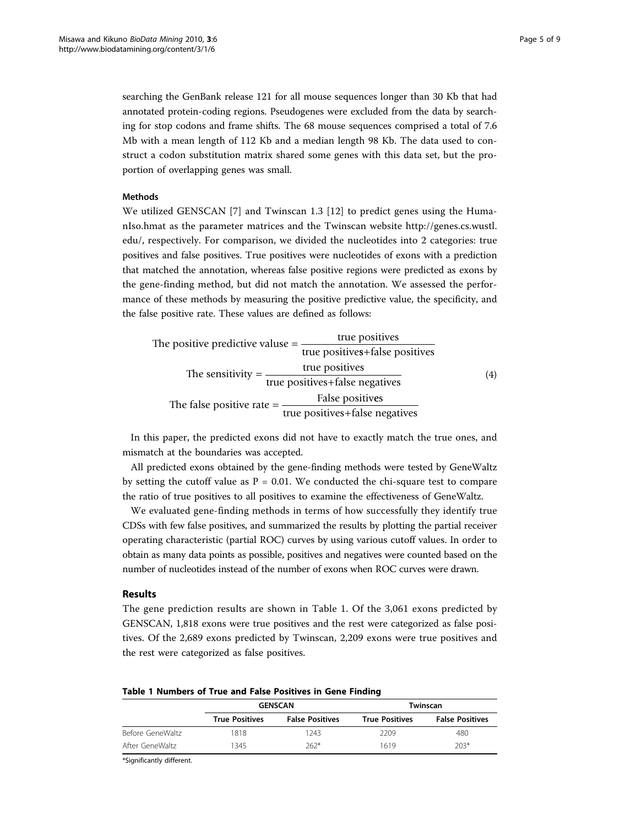<span id="page-4-0"></span>searching the GenBank release 121 for all mouse sequences longer than 30 Kb that had annotated protein-coding regions. Pseudogenes were excluded from the data by searching for stop codons and frame shifts. The 68 mouse sequences comprised a total of 7.6 Mb with a mean length of 112 Kb and a median length 98 Kb. The data used to construct a codon substitution matrix shared some genes with this data set, but the proportion of overlapping genes was small.

#### Methods

We utilized GENSCAN [[7\]](#page-7-0) and Twinscan 1.3 [\[12](#page-7-0)] to predict genes using the HumanIso.hmat as the parameter matrices and the Twinscan website [http://genes.cs.wustl.](http://genes.cs.wustl.edu/) [edu/,](http://genes.cs.wustl.edu/) respectively. For comparison, we divided the nucleotides into 2 categories: true positives and false positives. True positives were nucleotides of exons with a prediction that matched the annotation, whereas false positive regions were predicted as exons by the gene-finding method, but did not match the annotation. We assessed the performance of these methods by measuring the positive predictive value, the specificity, and the false positive rate. These values are defined as follows:

| The positive predictive valuse $=$ | true positives                                    |                   |
|------------------------------------|---------------------------------------------------|-------------------|
|                                    | true positives+false positives                    |                   |
| The sensitivity $=$ -              | true positives<br>true positives+false negatives  | $\left( 4\right)$ |
| The false positive rate $=$        | False positives<br>true positives+false negatives |                   |

In this paper, the predicted exons did not have to exactly match the true ones, and mismatch at the boundaries was accepted.

All predicted exons obtained by the gene-finding methods were tested by GeneWaltz by setting the cutoff value as  $P = 0.01$ . We conducted the chi-square test to compare the ratio of true positives to all positives to examine the effectiveness of GeneWaltz.

We evaluated gene-finding methods in terms of how successfully they identify true CDSs with few false positives, and summarized the results by plotting the partial receiver operating characteristic (partial ROC) curves by using various cutoff values. In order to obtain as many data points as possible, positives and negatives were counted based on the number of nucleotides instead of the number of exons when ROC curves were drawn.

#### Results

The gene prediction results are shown in Table 1. Of the 3,061 exons predicted by GENSCAN, 1,818 exons were true positives and the rest were categorized as false positives. Of the 2,689 exons predicted by Twinscan, 2,209 exons were true positives and the rest were categorized as false positives.

|  |  | Table 1 Numbers of True and False Positives in Gene Finding |  |  |  |  |  |  |  |  |
|--|--|-------------------------------------------------------------|--|--|--|--|--|--|--|--|
|--|--|-------------------------------------------------------------|--|--|--|--|--|--|--|--|

|                  |                       | <b>GENSCAN</b>         | Twinscan              |                        |  |  |
|------------------|-----------------------|------------------------|-----------------------|------------------------|--|--|
|                  | <b>True Positives</b> | <b>False Positives</b> | <b>True Positives</b> | <b>False Positives</b> |  |  |
| Before GeneWaltz | 1818                  | 1243                   | 2209                  | 480                    |  |  |
| After GeneWaltz  | 1345                  | $262*$                 | 1619                  | $203*$                 |  |  |

\*Significantly different.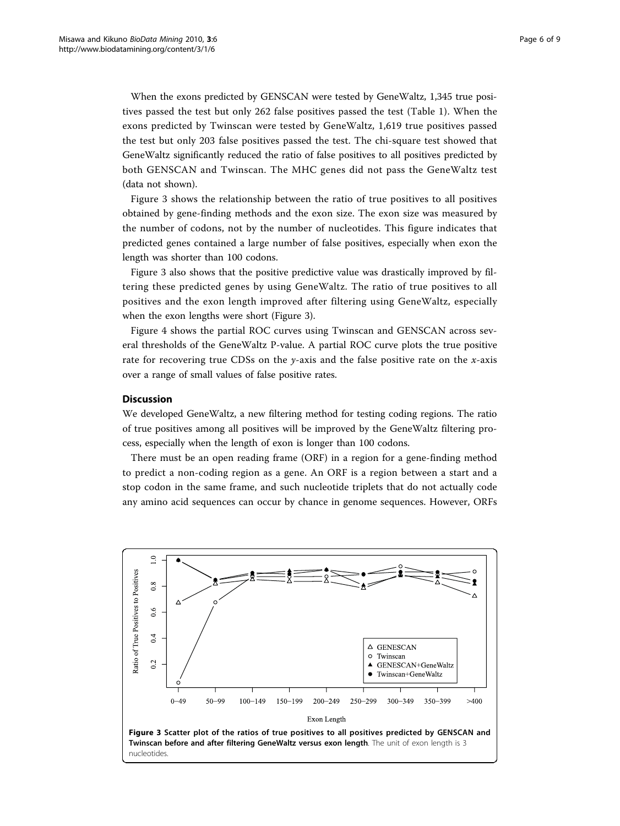When the exons predicted by GENSCAN were tested by GeneWaltz, 1,345 true positives passed the test but only 262 false positives passed the test (Table [1\)](#page-4-0). When the exons predicted by Twinscan were tested by GeneWaltz, 1,619 true positives passed the test but only 203 false positives passed the test. The chi-square test showed that GeneWaltz significantly reduced the ratio of false positives to all positives predicted by both GENSCAN and Twinscan. The MHC genes did not pass the GeneWaltz test (data not shown).

Figure 3 shows the relationship between the ratio of true positives to all positives obtained by gene-finding methods and the exon size. The exon size was measured by the number of codons, not by the number of nucleotides. This figure indicates that predicted genes contained a large number of false positives, especially when exon the length was shorter than 100 codons.

Figure 3 also shows that the positive predictive value was drastically improved by filtering these predicted genes by using GeneWaltz. The ratio of true positives to all positives and the exon length improved after filtering using GeneWaltz, especially when the exon lengths were short (Figure 3).

Figure [4](#page-6-0) shows the partial ROC curves using Twinscan and GENSCAN across several thresholds of the GeneWaltz P-value. A partial ROC curve plots the true positive rate for recovering true CDSs on the  $\gamma$ -axis and the false positive rate on the x-axis over a range of small values of false positive rates.

#### **Discussion**

We developed GeneWaltz, a new filtering method for testing coding regions. The ratio of true positives among all positives will be improved by the GeneWaltz filtering process, especially when the length of exon is longer than 100 codons.

There must be an open reading frame (ORF) in a region for a gene-finding method to predict a non-coding region as a gene. An ORF is a region between a start and a stop codon in the same frame, and such nucleotide triplets that do not actually code any amino acid sequences can occur by chance in genome sequences. However, ORFs

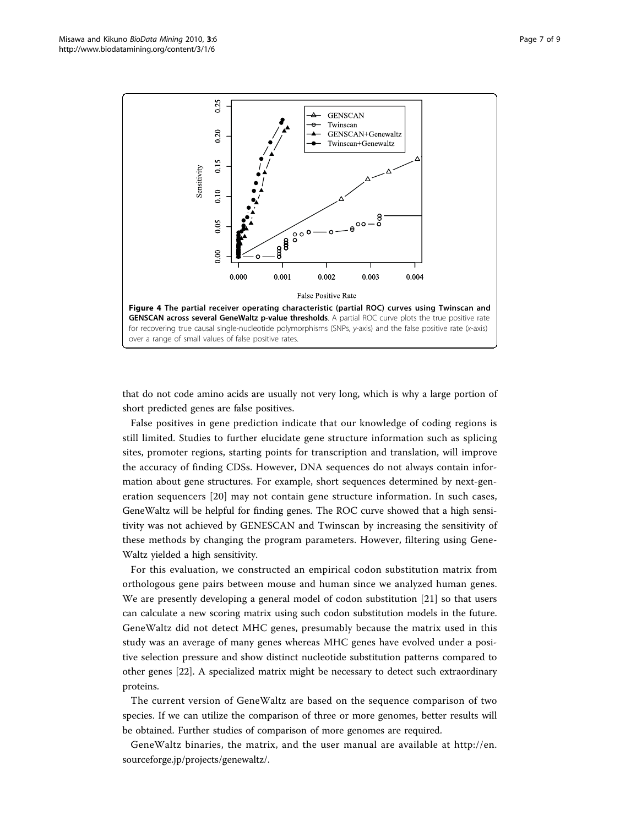<span id="page-6-0"></span>

that do not code amino acids are usually not very long, which is why a large portion of short predicted genes are false positives.

False positives in gene prediction indicate that our knowledge of coding regions is still limited. Studies to further elucidate gene structure information such as splicing sites, promoter regions, starting points for transcription and translation, will improve the accuracy of finding CDSs. However, DNA sequences do not always contain information about gene structures. For example, short sequences determined by next-generation sequencers [[20](#page-7-0)] may not contain gene structure information. In such cases, GeneWaltz will be helpful for finding genes. The ROC curve showed that a high sensitivity was not achieved by GENESCAN and Twinscan by increasing the sensitivity of these methods by changing the program parameters. However, filtering using Gene-Waltz yielded a high sensitivity.

For this evaluation, we constructed an empirical codon substitution matrix from orthologous gene pairs between mouse and human since we analyzed human genes. We are presently developing a general model of codon substitution [[21\]](#page-8-0) so that users can calculate a new scoring matrix using such codon substitution models in the future. GeneWaltz did not detect MHC genes, presumably because the matrix used in this study was an average of many genes whereas MHC genes have evolved under a positive selection pressure and show distinct nucleotide substitution patterns compared to other genes [[22\]](#page-8-0). A specialized matrix might be necessary to detect such extraordinary proteins.

The current version of GeneWaltz are based on the sequence comparison of two species. If we can utilize the comparison of three or more genomes, better results will be obtained. Further studies of comparison of more genomes are required.

GeneWaltz binaries, the matrix, and the user manual are available at http://en. sourceforge.jp/projects/genewaltz/.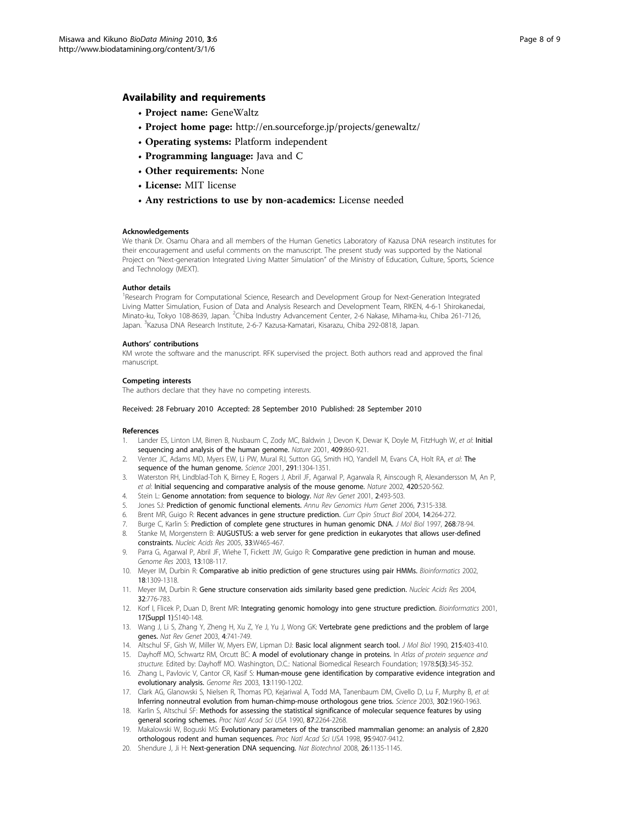#### <span id="page-7-0"></span>Availability and requirements

- Project name: GeneWaltz
- Project home page: http://en.sourceforge.jp/projects/genewaltz/
- Operating systems: Platform independent
- Programming language: Java and C
- Other requirements: None
- License: MIT license
- Any restrictions to use by non-academics: License needed

#### Acknowledgements

We thank Dr. Osamu Ohara and all members of the Human Genetics Laboratory of Kazusa DNA research institutes for their encouragement and useful comments on the manuscript. The present study was supported by the National Project on "Next-generation Integrated Living Matter Simulation" of the Ministry of Education, Culture, Sports, Science and Technology (MEXT).

#### Author details

<sup>1</sup>Research Program for Computational Science, Research and Development Group for Next-Generation Integrated Living Matter Simulation, Fusion of Data and Analysis Research and Development Team, RIKEN, 4-6-1 Shirokanedai, Minato-ku, Tokyo 108-8639, Japan. <sup>2</sup>Chiba Industry Advancement Center, 2-6 Nakase, Mihama-ku, Chiba 261-7126, Japan. <sup>3</sup>Kazusa DNA Research Institute, 2-6-7 Kazusa-Kamatari, Kisarazu, Chiba 292-0818, Japan.

#### Authors' contributions

KM wrote the software and the manuscript. RFK supervised the project. Both authors read and approved the final manuscript.

#### Competing interests

The authors declare that they have no competing interests.

#### Received: 28 February 2010 Accepted: 28 September 2010 Published: 28 September 2010

#### References

- 1. Lander ES, Linton LM, Birren B, Nusbaum C, Zody MC, Baldwin J, Devon K, Dewar K, Doyle M, FitzHugh W, et al: [Initial](http://www.ncbi.nlm.nih.gov/pubmed/11237011?dopt=Abstract) [sequencing and analysis of the human genome.](http://www.ncbi.nlm.nih.gov/pubmed/11237011?dopt=Abstract) Nature 2001, 409:860-921.
- 2. Venter JC, Adams MD, Myers EW, Li PW, Mural RJ, Sutton GG, Smith HO, Yandell M, Evans CA, Holt RA, et al: [The](http://www.ncbi.nlm.nih.gov/pubmed/11181995?dopt=Abstract) [sequence of the human genome.](http://www.ncbi.nlm.nih.gov/pubmed/11181995?dopt=Abstract) Science 2001, 291:1304-1351.
- 3. Waterston RH, Lindblad-Toh K, Birney E, Rogers J, Abril JF, Agarwal P, Agarwala R, Ainscough R, Alexandersson M, An P, et al: [Initial sequencing and comparative analysis of the mouse genome.](http://www.ncbi.nlm.nih.gov/pubmed/12466850?dopt=Abstract) Nature 2002, 420:520-562.
- 4. Stein L: [Genome annotation: from sequence to biology.](http://www.ncbi.nlm.nih.gov/pubmed/11433356?dopt=Abstract) Nat Rev Genet 2001, 2:493-503
- Jones SJ: [Prediction of genomic functional elements.](http://www.ncbi.nlm.nih.gov/pubmed/16824019?dopt=Abstract) Annu Rev Genomics Hum Genet 2006, 7:315-338.
- 6. Brent MR, Guigo R: [Recent advances in gene structure prediction.](http://www.ncbi.nlm.nih.gov/pubmed/15193305?dopt=Abstract) Curr Opin Struct Biol 2004, 14:264-272.
- 7. Burge C, Karlin S: [Prediction of complete gene structures in human genomic DNA.](http://www.ncbi.nlm.nih.gov/pubmed/9149143?dopt=Abstract) J Mol Biol 1997, 268:78-94 8. Stanke M, Morgenstern B: [AUGUSTUS: a web server for gene prediction in eukaryotes that allows user-defined](http://www.ncbi.nlm.nih.gov/pubmed/15980513?dopt=Abstract) [constraints.](http://www.ncbi.nlm.nih.gov/pubmed/15980513?dopt=Abstract) Nucleic Acids Res 2005, 33:W465-467.
- 9. Parra G, Agarwal P, Abril JF, Wiehe T, Fickett JW, Guigo R: [Comparative gene prediction in human and mouse.](http://www.ncbi.nlm.nih.gov/pubmed/12529313?dopt=Abstract) Genome Res 2003, 13:108-117.
- 10. Meyer IM, Durbin R: [Comparative ab initio prediction of gene structures using pair HMMs.](http://www.ncbi.nlm.nih.gov/pubmed/12376375?dopt=Abstract) Bioinformatics 2002, 18:1309-1318.
- 11. Meyer IM, Durbin R: [Gene structure conservation aids similarity based gene prediction.](http://www.ncbi.nlm.nih.gov/pubmed/14764925?dopt=Abstract) Nucleic Acids Res 2004, 32:776-783.
- 12. Korf I, Flicek P, Duan D, Brent MR: [Integrating genomic homology into gene structure prediction.](http://www.ncbi.nlm.nih.gov/pubmed/11473003?dopt=Abstract) Bioinformatics 2001, 17(Suppl 1):S140-148.
- 13. Wang J, Li S, Zhang Y, Zheng H, Xu Z, Ye J, Yu J, Wong GK: [Vertebrate gene predictions and the problem of large](http://www.ncbi.nlm.nih.gov/pubmed/12951575?dopt=Abstract) [genes.](http://www.ncbi.nlm.nih.gov/pubmed/12951575?dopt=Abstract) Nat Rev Genet 2003, 4:741-749.
- 14. Altschul SF, Gish W, Miller W, Myers EW, Lipman DJ: [Basic local alignment search tool.](http://www.ncbi.nlm.nih.gov/pubmed/2231712?dopt=Abstract) J Mol Biol 1990, 215:403-410.
- 15. Dayhoff MO, Schwartz RM, Orcutt BC: A model of evolutionary change in proteins. In Atlas of protein sequence and structure. Edited by: Dayhoff MO. Washington, D.C.: National Biomedical Research Foundation; 1978:5(3):345-352.
- 16. Zhang L, Pavlovic V, Cantor CR, Kasif S: [Human-mouse gene identification by comparative evidence integration and](http://www.ncbi.nlm.nih.gov/pubmed/12743024?dopt=Abstract) [evolutionary analysis.](http://www.ncbi.nlm.nih.gov/pubmed/12743024?dopt=Abstract) Genome Res 2003, 13:1190-1202.
- 17. Clark AG, Glanowski S, Nielsen R, Thomas PD, Kejariwal A, Todd MA, Tanenbaum DM, Civello D, Lu F, Murphy B, et al: [Inferring nonneutral evolution from human-chimp-mouse orthologous gene trios.](http://www.ncbi.nlm.nih.gov/pubmed/14671302?dopt=Abstract) Science 2003, 302:1960-1963.
- 18. Karlin S, Altschul SF: [Methods for assessing the statistical significance of molecular sequence features by using](http://www.ncbi.nlm.nih.gov/pubmed/2315319?dopt=Abstract) [general scoring schemes.](http://www.ncbi.nlm.nih.gov/pubmed/2315319?dopt=Abstract) Proc Natl Acad Sci USA 1990, 87:2264-2268.
- 19. Makalowski W, Boguski MS: [Evolutionary parameters of the transcribed mammalian genome: an analysis of 2,820](http://www.ncbi.nlm.nih.gov/pubmed/9689093?dopt=Abstract) [orthologous rodent and human sequences.](http://www.ncbi.nlm.nih.gov/pubmed/9689093?dopt=Abstract) Proc Natl Acad Sci USA 1998, 95:9407-9412.
- 20. Shendure J, Ji H: [Next-generation DNA sequencing.](http://www.ncbi.nlm.nih.gov/pubmed/18846087?dopt=Abstract) Nat Biotechnol 2008, 26:1135-1145.